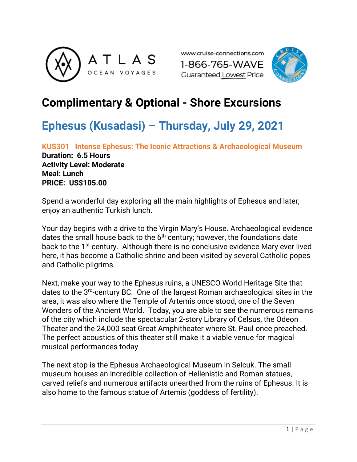





# **Complimentary & Optional - Shore Excursions**

# **Ephesus (Kusadasi) – Thursday, July 29, 2021**

**KUS301 Intense Ephesus: The Iconic Attractions & Archaeological Museum Duration: 6.5 Hours Activity Level: Moderate Meal: Lunch PRICE: US\$105.00**

Spend a wonderful day exploring all the main highlights of Ephesus and later, enjoy an authentic Turkish lunch.

Your day begins with a drive to the Virgin Mary's House. Archaeological evidence dates the small house back to the 6<sup>th</sup> century; however, the foundations date back to the 1<sup>st</sup> century. Although there is no conclusive evidence Mary ever lived here, it has become a Catholic shrine and been visited by several Catholic popes and Catholic pilgrims.

Next, make your way to the Ephesus ruins, a UNESCO World Heritage Site that dates to the 3rd-century BC. One of the largest Roman archaeological sites in the area, it was also where the Temple of Artemis once stood, one of the Seven Wonders of the Ancient World. Today, you are able to see the numerous remains of the city which include the spectacular 2-story Library of Celsus, the Odeon Theater and the 24,000 seat Great Amphitheater where St. Paul once preached. The perfect acoustics of this theater still make it a viable venue for magical musical performances today.

The next stop is the Ephesus Archaeological Museum in Selcuk. The small museum houses an incredible collection of Hellenistic and Roman statues, carved reliefs and numerous artifacts unearthed from the ruins of Ephesus. It is also home to the famous statue of Artemis (goddess of fertility).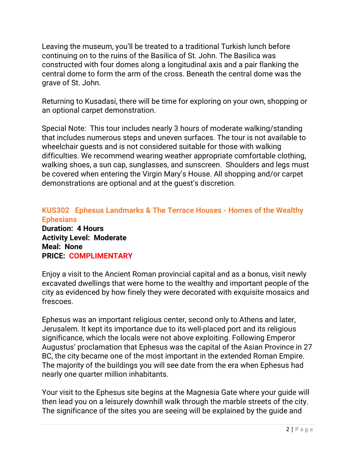Leaving the museum, you'll be treated to a traditional Turkish lunch before continuing on to the ruins of the Basilica of St. John. The Basilica was constructed with four domes along a longitudinal axis and a pair flanking the central dome to form the arm of the cross. Beneath the central dome was the grave of St. John.

Returning to Kusadasi, there will be time for exploring on your own, shopping or an optional carpet demonstration.

Special Note: This tour includes nearly 3 hours of moderate walking/standing that includes numerous steps and uneven surfaces. The tour is not available to wheelchair guests and is not considered suitable for those with walking difficulties. We recommend wearing weather appropriate comfortable clothing, walking shoes, a sun cap, sunglasses, and sunscreen. Shoulders and legs must be covered when entering the Virgin Mary's House. All shopping and/or carpet demonstrations are optional and at the guest's discretion.

### **KUS302 Ephesus Landmarks & The Terrace Houses - Homes of the Wealthy Ephesians**

**Duration: 4 Hours Activity Level: Moderate Meal: None PRICE: COMPLIMENTARY** 

Enjoy a visit to the Ancient Roman provincial capital and as a bonus, visit newly excavated dwellings that were home to the wealthy and important people of the city as evidenced by how finely they were decorated with exquisite mosaics and frescoes.

Ephesus was an important religious center, second only to Athens and later, Jerusalem. It kept its importance due to its well-placed port and its religious significance, which the locals were not above exploiting. Following Emperor Augustus' proclamation that Ephesus was the capital of the Asian Province in 27 BC, the city became one of the most important in the extended Roman Empire. The majority of the buildings you will see date from the era when Ephesus had nearly one quarter million inhabitants.

Your visit to the Ephesus site begins at the Magnesia Gate where your guide will then lead you on a leisurely downhill walk through the marble streets of the city. The significance of the sites you are seeing will be explained by the guide and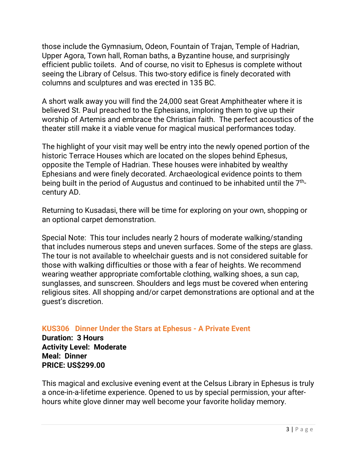those include the Gymnasium, Odeon, Fountain of Trajan, Temple of Hadrian, Upper Agora, Town hall, Roman baths, a Byzantine house, and surprisingly efficient public toilets. And of course, no visit to Ephesus is complete without seeing the Library of Celsus. This two-story edifice is finely decorated with columns and sculptures and was erected in 135 BC.

A short walk away you will find the 24,000 seat Great Amphitheater where it is believed St. Paul preached to the Ephesians, imploring them to give up their worship of Artemis and embrace the Christian faith. The perfect acoustics of the theater still make it a viable venue for magical musical performances today.

The highlight of your visit may well be entry into the newly opened portion of the historic Terrace Houses which are located on the slopes behind Ephesus, opposite the Temple of Hadrian. These houses were inhabited by wealthy Ephesians and were finely decorated. Archaeological evidence points to them being built in the period of Augustus and continued to be inhabited until the 7<sup>th</sup>century AD.

Returning to Kusadasi, there will be time for exploring on your own, shopping or an optional carpet demonstration.

Special Note: This tour includes nearly 2 hours of moderate walking/standing that includes numerous steps and uneven surfaces. Some of the steps are glass. The tour is not available to wheelchair guests and is not considered suitable for those with walking difficulties or those with a fear of heights. We recommend wearing weather appropriate comfortable clothing, walking shoes, a sun cap, sunglasses, and sunscreen. Shoulders and legs must be covered when entering religious sites. All shopping and/or carpet demonstrations are optional and at the guest's discretion.

#### **KUS306 Dinner Under the Stars at Ephesus - A Private Event**

**Duration: 3 Hours Activity Level: Moderate Meal: Dinner PRICE: US\$299.00**

This magical and exclusive evening event at the Celsus Library in Ephesus is truly a once-in-a-lifetime experience. Opened to us by special permission, your afterhours white glove dinner may well become your favorite holiday memory.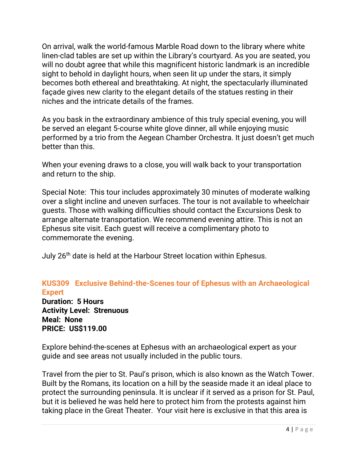On arrival, walk the world-famous Marble Road down to the library where white linen-clad tables are set up within the Library's courtyard. As you are seated, you will no doubt agree that while this magnificent historic landmark is an incredible sight to behold in daylight hours, when seen lit up under the stars, it simply becomes both ethereal and breathtaking. At night, the spectacularly illuminated façade gives new clarity to the elegant details of the statues resting in their niches and the intricate details of the frames.

As you bask in the extraordinary ambience of this truly special evening, you will be served an elegant 5-course white glove dinner, all while enjoying music performed by a trio from the Aegean Chamber Orchestra. It just doesn't get much better than this.

When your evening draws to a close, you will walk back to your transportation and return to the ship.

Special Note: This tour includes approximately 30 minutes of moderate walking over a slight incline and uneven surfaces. The tour is not available to wheelchair guests. Those with walking difficulties should contact the Excursions Desk to arrange alternate transportation. We recommend evening attire. This is not an Ephesus site visit. Each guest will receive a complimentary photo to commemorate the evening.

July 26<sup>th</sup> date is held at the Harbour Street location within Ephesus.

### **KUS309 Exclusive Behind-the-Scenes tour of Ephesus with an Archaeological Expert**

**Duration: 5 Hours Activity Level: Strenuous Meal: None PRICE: US\$119.00**

Explore behind-the-scenes at Ephesus with an archaeological expert as your guide and see areas not usually included in the public tours.

Travel from the pier to St. Paul's prison, which is also known as the Watch Tower. Built by the Romans, its location on a hill by the seaside made it an ideal place to protect the surrounding peninsula. It is unclear if it served as a prison for St. Paul, but it is believed he was held here to protect him from the protests against him taking place in the Great Theater. Your visit here is exclusive in that this area is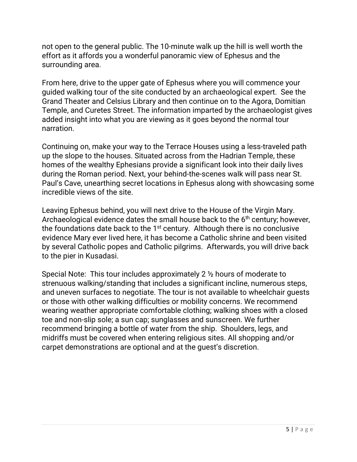not open to the general public. The 10-minute walk up the hill is well worth the effort as it affords you a wonderful panoramic view of Ephesus and the surrounding area.

From here, drive to the upper gate of Ephesus where you will commence your guided walking tour of the site conducted by an archaeological expert. See the Grand Theater and Celsius Library and then continue on to the Agora, Domitian Temple, and Curetes Street. The information imparted by the archaeologist gives added insight into what you are viewing as it goes beyond the normal tour narration.

Continuing on, make your way to the Terrace Houses using a less-traveled path up the slope to the houses. Situated across from the Hadrian Temple, these homes of the wealthy Ephesians provide a significant look into their daily lives during the Roman period. Next, your behind-the-scenes walk will pass near St. Paul's Cave, unearthing secret locations in Ephesus along with showcasing some incredible views of the site.

Leaving Ephesus behind, you will next drive to the House of the Virgin Mary. Archaeological evidence dates the small house back to the  $6<sup>th</sup>$  century; however, the foundations date back to the 1<sup>st</sup> century. Although there is no conclusive evidence Mary ever lived here, it has become a Catholic shrine and been visited by several Catholic popes and Catholic pilgrims. Afterwards, you will drive back to the pier in Kusadasi.

Special Note: This tour includes approximately 2 ½ hours of moderate to strenuous walking/standing that includes a significant incline, numerous steps, and uneven surfaces to negotiate. The tour is not available to wheelchair guests or those with other walking difficulties or mobility concerns. We recommend wearing weather appropriate comfortable clothing; walking shoes with a closed toe and non-slip sole; a sun cap; sunglasses and sunscreen. We further recommend bringing a bottle of water from the ship. Shoulders, legs, and midriffs must be covered when entering religious sites. All shopping and/or carpet demonstrations are optional and at the guest's discretion.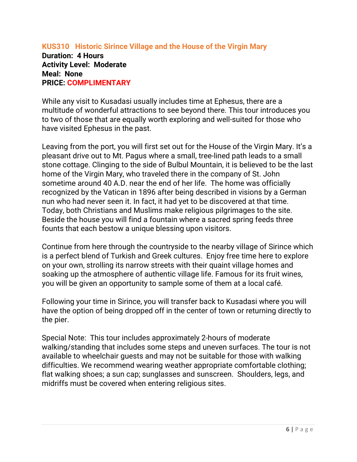#### **KUS310 Historic Sirince Village and the House of the Virgin Mary Duration: 4 Hours Activity Level: Moderate Meal: None PRICE: COMPLIMENTARY**

While any visit to Kusadasi usually includes time at Ephesus, there are a multitude of wonderful attractions to see beyond there. This tour introduces you to two of those that are equally worth exploring and well-suited for those who have visited Ephesus in the past.

Leaving from the port, you will first set out for the House of the Virgin Mary. It's a pleasant drive out to Mt. Pagus where a small, tree-lined path leads to a small stone cottage. Clinging to the side of Bulbul Mountain, it is believed to be the last home of the Virgin Mary, who traveled there in the company of St. John sometime around 40 A.D. near the end of her life. The home was officially recognized by the Vatican in 1896 after being described in visions by a German nun who had never seen it. In fact, it had yet to be discovered at that time. Today, both Christians and Muslims make religious pilgrimages to the site. Beside the house you will find a fountain where a sacred spring feeds three founts that each bestow a unique blessing upon visitors.

Continue from here through the countryside to the nearby village of Sirince which is a perfect blend of Turkish and Greek cultures. Enjoy free time here to explore on your own, strolling its narrow streets with their quaint village homes and soaking up the atmosphere of authentic village life. Famous for its fruit wines, you will be given an opportunity to sample some of them at a local café.

Following your time in Sirince, you will transfer back to Kusadasi where you will have the option of being dropped off in the center of town or returning directly to the pier.

Special Note: This tour includes approximately 2-hours of moderate walking/standing that includes some steps and uneven surfaces. The tour is not available to wheelchair guests and may not be suitable for those with walking difficulties. We recommend wearing weather appropriate comfortable clothing; flat walking shoes; a sun cap; sunglasses and sunscreen. Shoulders, legs, and midriffs must be covered when entering religious sites.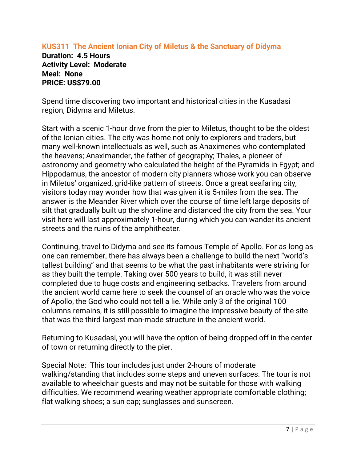### **KUS311 The Ancient Ionian City of Miletus & the Sanctuary of Didyma**

**Duration: 4.5 Hours Activity Level: Moderate Meal: None PRICE: US\$79.00** 

Spend time discovering two important and historical cities in the Kusadasi region, Didyma and Miletus.

Start with a scenic 1-hour drive from the pier to Miletus, thought to be the oldest of the Ionian cities. The city was home not only to explorers and traders, but many well-known intellectuals as well, such as Anaximenes who contemplated the heavens; Anaximander, the father of geography; Thales, a pioneer of astronomy and geometry who calculated the height of the Pyramids in Egypt; and Hippodamus, the ancestor of modern city planners whose work you can observe in Miletus' organized, grid-like pattern of streets. Once a great seafaring city, visitors today may wonder how that was given it is 5-miles from the sea. The answer is the Meander River which over the course of time left large deposits of silt that gradually built up the shoreline and distanced the city from the sea. Your visit here will last approximately 1-hour, during which you can wander its ancient streets and the ruins of the amphitheater.

Continuing, travel to Didyma and see its famous Temple of Apollo. For as long as one can remember, there has always been a challenge to build the next "world's tallest building" and that seems to be what the past inhabitants were striving for as they built the temple. Taking over 500 years to build, it was still never completed due to huge costs and engineering setbacks. Travelers from around the ancient world came here to seek the counsel of an oracle who was the voice of Apollo, the God who could not tell a lie. While only 3 of the original 100 columns remains, it is still possible to imagine the impressive beauty of the site that was the third largest man-made structure in the ancient world.

Returning to Kusadasi, you will have the option of being dropped off in the center of town or returning directly to the pier.

Special Note: This tour includes just under 2-hours of moderate walking/standing that includes some steps and uneven surfaces. The tour is not available to wheelchair guests and may not be suitable for those with walking difficulties. We recommend wearing weather appropriate comfortable clothing; flat walking shoes; a sun cap; sunglasses and sunscreen.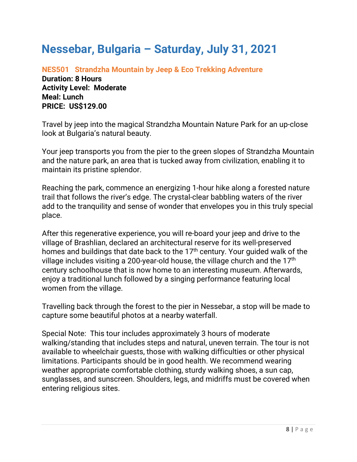# **Nessebar, Bulgaria – Saturday, July 31, 2021**

**NES501 Strandzha Mountain by Jeep & Eco Trekking Adventure Duration: 8 Hours Activity Level: Moderate Meal: Lunch PRICE: US\$129.00**

Travel by jeep into the magical Strandzha Mountain Nature Park for an up-close look at Bulgaria's natural beauty.

Your jeep transports you from the pier to the green slopes of Strandzha Mountain and the nature park, an area that is tucked away from civilization, enabling it to maintain its pristine splendor.

Reaching the park, commence an energizing 1-hour hike along a forested nature trail that follows the river's edge. The crystal-clear babbling waters of the river add to the tranquility and sense of wonder that envelopes you in this truly special place.

After this regenerative experience, you will re-board your jeep and drive to the village of Brashlian, declared an architectural reserve for its well-preserved homes and buildings that date back to the 17<sup>th</sup> century. Your guided walk of the village includes visiting a 200-year-old house, the village church and the 17th century schoolhouse that is now home to an interesting museum. Afterwards, enjoy a traditional lunch followed by a singing performance featuring local women from the village.

Travelling back through the forest to the pier in Nessebar, a stop will be made to capture some beautiful photos at a nearby waterfall.

Special Note: This tour includes approximately 3 hours of moderate walking/standing that includes steps and natural, uneven terrain. The tour is not available to wheelchair guests, those with walking difficulties or other physical limitations. Participants should be in good health. We recommend wearing weather appropriate comfortable clothing, sturdy walking shoes, a sun cap, sunglasses, and sunscreen. Shoulders, legs, and midriffs must be covered when entering religious sites.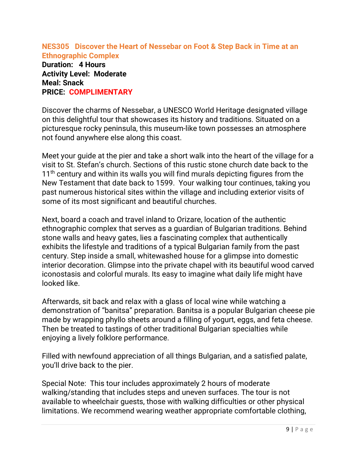**NES305 Discover the Heart of Nessebar on Foot & Step Back in Time at an Ethnographic Complex** 

**Duration: 4 Hours Activity Level: Moderate Meal: Snack PRICE: COMPLIMENTARY** 

Discover the charms of Nessebar, a UNESCO World Heritage designated village on this delightful tour that showcases its history and traditions. Situated on a picturesque rocky peninsula, this museum-like town possesses an atmosphere not found anywhere else along this coast.

Meet your guide at the pier and take a short walk into the heart of the village for a visit to St. Stefan's church. Sections of this rustic stone church date back to the 11<sup>th</sup> century and within its walls you will find murals depicting figures from the New Testament that date back to 1599. Your walking tour continues, taking you past numerous historical sites within the village and including exterior visits of some of its most significant and beautiful churches.

Next, board a coach and travel inland to Orizare, location of the authentic ethnographic complex that serves as a guardian of Bulgarian traditions. Behind stone walls and heavy gates, lies a fascinating complex that authentically exhibits the lifestyle and traditions of a typical Bulgarian family from the past century. Step inside a small, whitewashed house for a glimpse into domestic interior decoration. Glimpse into the private chapel with its beautiful wood carved iconostasis and colorful murals. Its easy to imagine what daily life might have looked like.

Afterwards, sit back and relax with a glass of local wine while watching a demonstration of "banitsa" preparation. Banitsa is a popular Bulgarian cheese pie made by wrapping phyllo sheets around a filling of yogurt, eggs, and feta cheese. Then be treated to tastings of other traditional Bulgarian specialties while enjoying a lively folklore performance.

Filled with newfound appreciation of all things Bulgarian, and a satisfied palate, you'll drive back to the pier.

Special Note: This tour includes approximately 2 hours of moderate walking/standing that includes steps and uneven surfaces. The tour is not available to wheelchair guests, those with walking difficulties or other physical limitations. We recommend wearing weather appropriate comfortable clothing,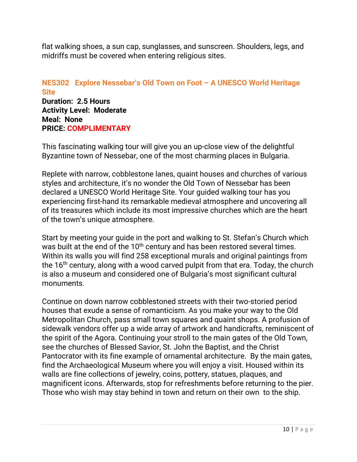flat walking shoes, a sun cap, sunglasses, and sunscreen. Shoulders, legs, and midriffs must be covered when entering religious sites.

#### **NES302 Explore Nessebar's Old Town on Foot – A UNESCO World Heritage Site Duration: 2.5 Hours Activity Level: Moderate Meal: None PRICE: COMPLIMENTARY**

This fascinating walking tour will give you an up-close view of the delightful Byzantine town of Nessebar, one of the most charming places in Bulgaria.

Replete with narrow, cobblestone lanes, quaint houses and churches of various styles and architecture, it's no wonder the Old Town of Nessebar has been declared a UNESCO World Heritage Site. Your guided walking tour has you experiencing first-hand its remarkable medieval atmosphere and uncovering all of its treasures which include its most impressive churches which are the heart of the town's unique atmosphere.

Start by meeting your guide in the port and walking to St. Stefan's Church which was built at the end of the 10<sup>th</sup> century and has been restored several times. Within its walls you will find 258 exceptional murals and original paintings from the 16<sup>th</sup> century, along with a wood carved pulpit from that era. Today, the church is also a museum and considered one of Bulgaria's most significant cultural monuments.

Continue on down narrow cobblestoned streets with their two-storied period houses that exude a sense of romanticism. As you make your way to the Old Metropolitan Church, pass small town squares and quaint shops. A profusion of sidewalk vendors offer up a wide array of artwork and handicrafts, reminiscent of the spirit of the Agora. Continuing your stroll to the main gates of the Old Town, see the churches of Blessed Savior, St. John the Baptist, and the Christ Pantocrator with its fine example of ornamental architecture. By the main gates, find the Archaeological Museum where you will enjoy a visit. Housed within its walls are fine collections of jewelry, coins, pottery, statues, plaques, and magnificent icons. Afterwards, stop for refreshments before returning to the pier. Those who wish may stay behind in town and return on their own to the ship.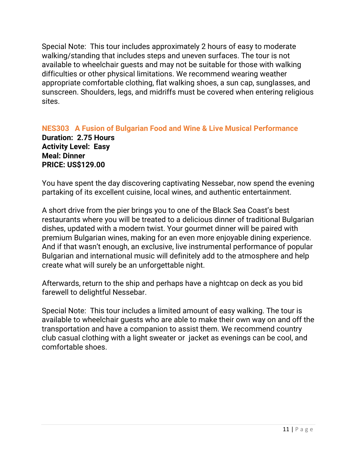Special Note: This tour includes approximately 2 hours of easy to moderate walking/standing that includes steps and uneven surfaces. The tour is not available to wheelchair guests and may not be suitable for those with walking difficulties or other physical limitations. We recommend wearing weather appropriate comfortable clothing, flat walking shoes, a sun cap, sunglasses, and sunscreen. Shoulders, legs, and midriffs must be covered when entering religious sites.

#### **NES303 A Fusion of Bulgarian Food and Wine & Live Musical Performance Duration: 2.75 Hours Activity Level: Easy Meal: Dinner PRICE: US\$129.00**

You have spent the day discovering captivating Nessebar, now spend the evening partaking of its excellent cuisine, local wines, and authentic entertainment.

A short drive from the pier brings you to one of the Black Sea Coast's best restaurants where you will be treated to a delicious dinner of traditional Bulgarian dishes, updated with a modern twist. Your gourmet dinner will be paired with premium Bulgarian wines, making for an even more enjoyable dining experience. And if that wasn't enough, an exclusive, live instrumental performance of popular Bulgarian and international music will definitely add to the atmosphere and help create what will surely be an unforgettable night.

Afterwards, return to the ship and perhaps have a nightcap on deck as you bid farewell to delightful Nessebar.

Special Note: This tour includes a limited amount of easy walking. The tour is available to wheelchair guests who are able to make their own way on and off the transportation and have a companion to assist them. We recommend country club casual clothing with a light sweater or jacket as evenings can be cool, and comfortable shoes.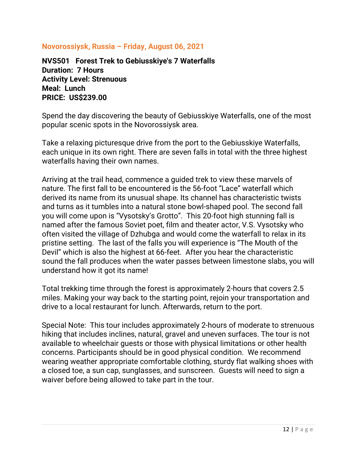#### **Novorossiysk, Russia – Friday, August 06, 2021**

**NVS501 Forest Trek to Gebiusskiye's 7 Waterfalls Duration: 7 Hours Activity Level: Strenuous Meal: Lunch PRICE: US\$239.00**

Spend the day discovering the beauty of Gebiusskiye Waterfalls, one of the most popular scenic spots in the Novorossiysk area.

Take a relaxing picturesque drive from the port to the Gebiusskiye Waterfalls, each unique in its own right. There are seven falls in total with the three highest waterfalls having their own names.

Arriving at the trail head, commence a guided trek to view these marvels of nature. The first fall to be encountered is the 56-foot "Lace" waterfall which derived its name from its unusual shape. Its channel has characteristic twists and turns as it tumbles into a natural stone bowl-shaped pool. The second fall you will come upon is "Vysotsky's Grotto". This 20-foot high stunning fall is named after the famous Soviet poet, film and theater actor, V.S. Vysotsky who often visited the village of Dzhubga and would come the waterfall to relax in its pristine setting. The last of the falls you will experience is "The Mouth of the Devil" which is also the highest at 66-feet. After you hear the characteristic sound the fall produces when the water passes between limestone slabs, you will understand how it got its name!

Total trekking time through the forest is approximately 2-hours that covers 2.5 miles. Making your way back to the starting point, rejoin your transportation and drive to a local restaurant for lunch. Afterwards, return to the port.

Special Note: This tour includes approximately 2-hours of moderate to strenuous hiking that includes inclines, natural, gravel and uneven surfaces. The tour is not available to wheelchair guests or those with physical limitations or other health concerns. Participants should be in good physical condition. We recommend wearing weather appropriate comfortable clothing, sturdy flat walking shoes with a closed toe, a sun cap, sunglasses, and sunscreen. Guests will need to sign a waiver before being allowed to take part in the tour.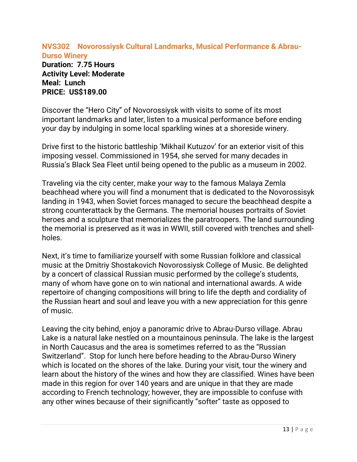#### **NVS302 Novorossiysk Cultural Landmarks, Musical Performance & Abrau-Durso Winery**

**Duration: 7.75 Hours Activity Level: Moderate Meal: Lunch PRICE: US\$189.00**

Discover the "Hero City" of Novorossiysk with visits to some of its most important landmarks and later, listen to a musical performance before ending your day by indulging in some local sparkling wines at a shoreside winery.

Drive first to the historic battleship 'Mikhail Kutuzov' for an exterior visit of this imposing vessel. Commissioned in 1954, she served for many decades in Russia's Black Sea Fleet until being opened to the public as a museum in 2002.

Traveling via the city center, make your way to the famous Malaya Zemla beachhead where you will find a monument that is dedicated to the Novorossisyk landing in 1943, when Soviet forces managed to secure the beachhead despite a strong counterattack by the Germans. The memorial houses portraits of Soviet heroes and a sculpture that memorializes the paratroopers. The land surrounding the memorial is preserved as it was in WWII, still covered with trenches and shellholes.

Next, it's time to familiarize yourself with some Russian folklore and classical music at the Dmitriy Shostakovich Novorossiysk College of Music. Be delighted by a concert of classical Russian music performed by the college's students, many of whom have gone on to win national and international awards. A wide repertoire of changing compositions will bring to life the depth and cordiality of the Russian heart and soul and leave you with a new appreciation for this genre of music.

Leaving the city behind, enjoy a panoramic drive to Abrau-Durso village. Abrau Lake is a natural lake nestled on a mountainous peninsula. The lake is the largest in North Caucasus and the area is sometimes referred to as the "Russian Switzerland". Stop for lunch here before heading to the Abrau-Durso Winery which is located on the shores of the lake. During your visit, tour the winery and learn about the history of the wines and how they are classified. Wines have been made in this region for over 140 years and are unique in that they are made according to French technology; however, they are impossible to confuse with any other wines because of their significantly "softer" taste as opposed to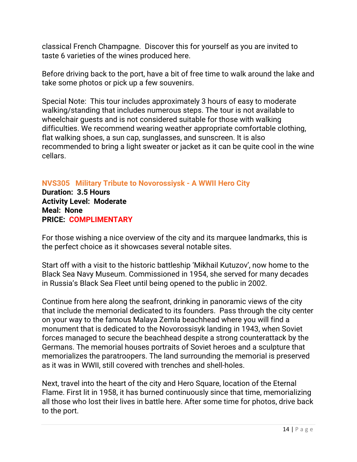classical French Champagne. Discover this for yourself as you are invited to taste 6 varieties of the wines produced here.

Before driving back to the port, have a bit of free time to walk around the lake and take some photos or pick up a few souvenirs.

Special Note: This tour includes approximately 3 hours of easy to moderate walking/standing that includes numerous steps. The tour is not available to wheelchair guests and is not considered suitable for those with walking difficulties. We recommend wearing weather appropriate comfortable clothing, flat walking shoes, a sun cap, sunglasses, and sunscreen. It is also recommended to bring a light sweater or jacket as it can be quite cool in the wine cellars.

### **NVS305 Military Tribute to Novorossiysk - A WWII Hero City**

**Duration: 3.5 Hours Activity Level: Moderate Meal: None PRICE: COMPLIMENTARY**

For those wishing a nice overview of the city and its marquee landmarks, this is the perfect choice as it showcases several notable sites.

Start off with a visit to the historic battleship 'Mikhail Kutuzov', now home to the Black Sea Navy Museum. Commissioned in 1954, she served for many decades in Russia's Black Sea Fleet until being opened to the public in 2002.

Continue from here along the seafront, drinking in panoramic views of the city that include the memorial dedicated to its founders. Pass through the city center on your way to the famous Malaya Zemla beachhead where you will find a monument that is dedicated to the Novorossisyk landing in 1943, when Soviet forces managed to secure the beachhead despite a strong counterattack by the Germans. The memorial houses portraits of Soviet heroes and a sculpture that memorializes the paratroopers. The land surrounding the memorial is preserved as it was in WWII, still covered with trenches and shell-holes.

Next, travel into the heart of the city and Hero Square, location of the Eternal Flame. First lit in 1958, it has burned continuously since that time, memorializing all those who lost their lives in battle here. After some time for photos, drive back to the port.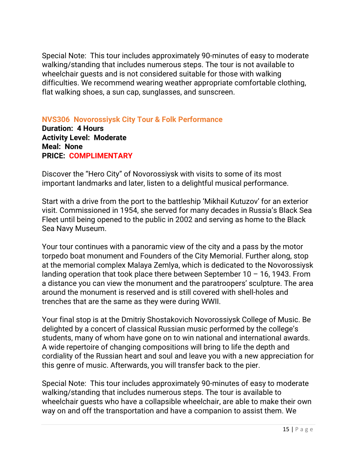Special Note: This tour includes approximately 90-minutes of easy to moderate walking/standing that includes numerous steps. The tour is not available to wheelchair guests and is not considered suitable for those with walking difficulties. We recommend wearing weather appropriate comfortable clothing, flat walking shoes, a sun cap, sunglasses, and sunscreen.

**NVS306 Novorossiysk City Tour & Folk Performance Duration: 4 Hours Activity Level: Moderate Meal: None PRICE: COMPLIMENTARY** 

Discover the "Hero City" of Novorossiysk with visits to some of its most important landmarks and later, listen to a delightful musical performance.

Start with a drive from the port to the battleship 'Mikhail Kutuzov' for an exterior visit. Commissioned in 1954, she served for many decades in Russia's Black Sea Fleet until being opened to the public in 2002 and serving as home to the Black Sea Navy Museum.

Your tour continues with a panoramic view of the city and a pass by the motor torpedo boat monument and Founders of the City Memorial. Further along, stop at the memorial complex Malaya Zemlya, which is dedicated to the Novorossiysk landing operation that took place there between September  $10 - 16$ , 1943. From a distance you can view the monument and the paratroopers' sculpture. The area around the monument is reserved and is still covered with shell-holes and trenches that are the same as they were during WWII.

Your final stop is at the Dmitriy Shostakovich Novorossiysk College of Music. Be delighted by a concert of classical Russian music performed by the college's students, many of whom have gone on to win national and international awards. A wide repertoire of changing compositions will bring to life the depth and cordiality of the Russian heart and soul and leave you with a new appreciation for this genre of music. Afterwards, you will transfer back to the pier.

Special Note: This tour includes approximately 90-minutes of easy to moderate walking/standing that includes numerous steps. The tour is available to wheelchair guests who have a collapsible wheelchair, are able to make their own way on and off the transportation and have a companion to assist them. We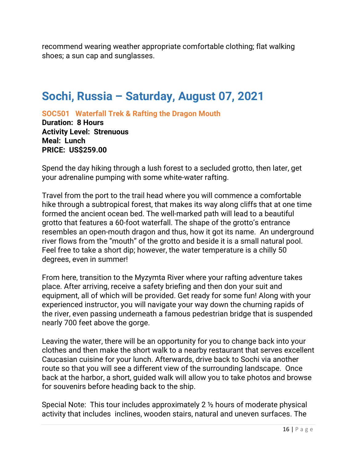recommend wearing weather appropriate comfortable clothing; flat walking shoes; a sun cap and sunglasses.

# **Sochi, Russia – Saturday, August 07, 2021**

**SOC501 Waterfall Trek & Rafting the Dragon Mouth**

**Duration: 8 Hours Activity Level: Strenuous Meal: Lunch PRICE: US\$259.00**

Spend the day hiking through a lush forest to a secluded grotto, then later, get your adrenaline pumping with some white-water rafting.

Travel from the port to the trail head where you will commence a comfortable hike through a subtropical forest, that makes its way along cliffs that at one time formed the ancient ocean bed. The well-marked path will lead to a beautiful grotto that features a 60-foot waterfall. The shape of the grotto's entrance resembles an open-mouth dragon and thus, how it got its name. An underground river flows from the "mouth" of the grotto and beside it is a small natural pool. Feel free to take a short dip; however, the water temperature is a chilly 50 degrees, even in summer!

From here, transition to the Myzymta River where your rafting adventure takes place. After arriving, receive a safety briefing and then don your suit and equipment, all of which will be provided. Get ready for some fun! Along with your experienced instructor, you will navigate your way down the churning rapids of the river, even passing underneath a famous pedestrian bridge that is suspended nearly 700 feet above the gorge.

Leaving the water, there will be an opportunity for you to change back into your clothes and then make the short walk to a nearby restaurant that serves excellent Caucasian cuisine for your lunch. Afterwards, drive back to Sochi via another route so that you will see a different view of the surrounding landscape. Once back at the harbor, a short, guided walk will allow you to take photos and browse for souvenirs before heading back to the ship.

Special Note: This tour includes approximately 2 ½ hours of moderate physical activity that includes inclines, wooden stairs, natural and uneven surfaces. The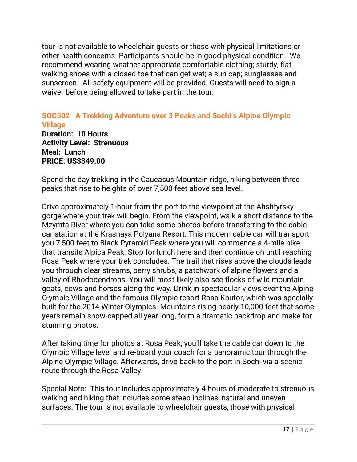tour is not available to wheelchair guests or those with physical limitations or other health concerns. Participants should be in good physical condition. We recommend wearing weather appropriate comfortable clothing; sturdy, flat walking shoes with a closed toe that can get wet; a sun cap; sunglasses and sunscreen. All safety equipment will be provided. Guests will need to sign a waiver before being allowed to take part in the tour.

### **SOC502 A Trekking Adventure over 3 Peaks and Sochi's Alpine Olympic Village**

**Duration: 10 Hours Activity Level: Strenuous Meal: Lunch PRICE: US\$349.00**

Spend the day trekking in the Caucasus Mountain ridge, hiking between three peaks that rise to heights of over 7,500 feet above sea level.

Drive approximately 1-hour from the port to the viewpoint at the Ahshtyrsky gorge where your trek will begin. From the viewpoint, walk a short distance to the Mzymta River where you can take some photos before transferring to the cable car station at the Krasnaya Polyana Resort. This modern cable car will transport you 7,500 feet to Black Pyramid Peak where you will commence a 4-mile hike that transits Alpica Peak. Stop for lunch here and then continue on until reaching Rosa Peak where your trek concludes. The trail that rises above the clouds leads you through clear streams, berry shrubs, a patchwork of alpine flowers and a valley of Rhododendrons. You will most likely also see flocks of wild mountain goats, cows and horses along the way. Drink in spectacular views over the Alpine Olympic Village and the famous Olympic resort Rosa Khutor, which was specially built for the 2014 Winter Olympics. Mountains rising nearly 10,000 feet that some years remain snow-capped all year long, form a dramatic backdrop and make for stunning photos.

After taking time for photos at Rosa Peak, you'll take the cable car down to the Olympic Village level and re-board your coach for a panoramic tour through the Alpine Olympic Village. Afterwards, drive back to the port in Sochi via a scenic route through the Rosa Valley.

Special Note: This tour includes approximately 4 hours of moderate to strenuous walking and hiking that includes some steep inclines, natural and uneven surfaces. The tour is not available to wheelchair guests, those with physical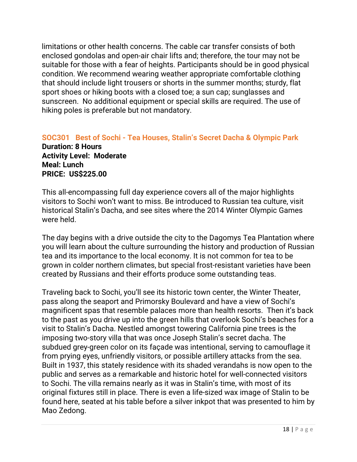limitations or other health concerns. The cable car transfer consists of both enclosed gondolas and open-air chair lifts and; therefore, the tour may not be suitable for those with a fear of heights. Participants should be in good physical condition. We recommend wearing weather appropriate comfortable clothing that should include light trousers or shorts in the summer months; sturdy, flat sport shoes or hiking boots with a closed toe; a sun cap; sunglasses and sunscreen. No additional equipment or special skills are required. The use of hiking poles is preferable but not mandatory.

**SOC301 Best of Sochi - Tea Houses, Stalin's Secret Dacha & Olympic Park Duration: 8 Hours Activity Level: Moderate Meal: Lunch PRICE: US\$225.00**

This all-encompassing full day experience covers all of the major highlights visitors to Sochi won't want to miss. Be introduced to Russian tea culture, visit historical Stalin's Dacha, and see sites where the 2014 Winter Olympic Games were held.

The day begins with a drive outside the city to the Dagomys Tea Plantation where you will learn about the culture surrounding the history and production of Russian tea and its importance to the local economy. It is not common for tea to be grown in colder northern climates, but special frost-resistant varieties have been created by Russians and their efforts produce some outstanding teas.

Traveling back to Sochi, you'll see its historic town center, the Winter Theater, pass along the seaport and Primorsky Boulevard and have a view of Sochi's magnificent spas that resemble palaces more than health resorts. Then it's back to the past as you drive up into the green hills that overlook Sochi's beaches for a visit to Stalin's Dacha. Nestled amongst towering California pine trees is the imposing two-story villa that was once Joseph Stalin's secret dacha. The subdued grey-green color on its façade was intentional, serving to camouflage it from prying eyes, unfriendly visitors, or possible artillery attacks from the sea. Built in 1937, this stately residence with its shaded verandahs is now open to the public and serves as a remarkable and historic hotel for well-connected visitors to Sochi. The villa remains nearly as it was in Stalin's time, with most of its original fixtures still in place. There is even a life-sized wax image of Stalin to be found here, seated at his table before a silver inkpot that was presented to him by Mao Zedong.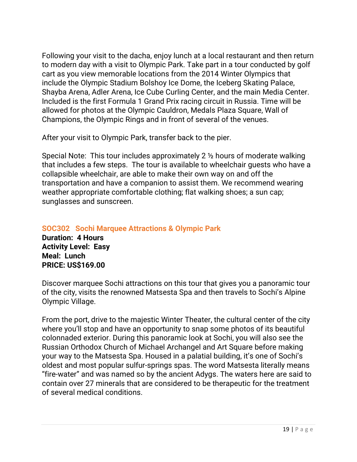Following your visit to the dacha, enjoy lunch at a local restaurant and then return to modern day with a visit to Olympic Park. Take part in a tour conducted by golf cart as you view memorable locations from the 2014 Winter Olympics that include the Olympic Stadium Bolshoy Ice Dome, the Iceberg Skating Palace, Shayba Arena, Adler Arena, Ice Cube Curling Center, and the main Media Center. Included is the first Formula 1 Grand Prix racing circuit in Russia. Time will be allowed for photos at the Olympic Cauldron, Medals Plaza Square, Wall of Champions, the Olympic Rings and in front of several of the venues.

After your visit to Olympic Park, transfer back to the pier.

Special Note: This tour includes approximately 2 ½ hours of moderate walking that includes a few steps. The tour is available to wheelchair guests who have a collapsible wheelchair, are able to make their own way on and off the transportation and have a companion to assist them. We recommend wearing weather appropriate comfortable clothing; flat walking shoes; a sun cap; sunglasses and sunscreen.

**SOC302 Sochi Marquee Attractions & Olympic Park Duration: 4 Hours Activity Level: Easy Meal: Lunch**

## **PRICE: US\$169.00**

Discover marquee Sochi attractions on this tour that gives you a panoramic tour of the city, visits the renowned Matsesta Spa and then travels to Sochi's Alpine Olympic Village.

From the port, drive to the majestic Winter Theater, the cultural center of the city where you'll stop and have an opportunity to snap some photos of its beautiful colonnaded exterior. During this panoramic look at Sochi, you will also see the Russian Orthodox Church of Michael Archangel and Art Square before making your way to the Matsesta Spa. Housed in a palatial building, it's one of Sochi's oldest and most popular sulfur-springs spas. The word Matsesta literally means "fire-water" and was named so by the ancient Adygs. The waters here are said to contain over 27 minerals that are considered to be therapeutic for the treatment of several medical conditions.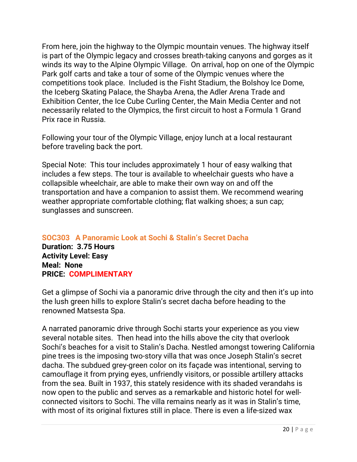From here, join the highway to the Olympic mountain venues. The highway itself is part of the Olympic legacy and crosses breath-taking canyons and gorges as it winds its way to the Alpine Olympic Village. On arrival, hop on one of the Olympic Park golf carts and take a tour of some of the Olympic venues where the competitions took place. Included is the Fisht Stadium, the Bolshoy Ice Dome, the Iceberg Skating Palace, the Shayba Arena, the Adler Arena Trade and Exhibition Center, the Ice Cube Curling Center, the Main Media Center and not necessarily related to the Olympics, the first circuit to host a Formula 1 Grand Prix race in Russia.

Following your tour of the Olympic Village, enjoy lunch at a local restaurant before traveling back the port.

Special Note: This tour includes approximately 1 hour of easy walking that includes a few steps. The tour is available to wheelchair guests who have a collapsible wheelchair, are able to make their own way on and off the transportation and have a companion to assist them. We recommend wearing weather appropriate comfortable clothing; flat walking shoes; a sun cap; sunglasses and sunscreen.

**SOC303 A Panoramic Look at Sochi & Stalin's Secret Dacha**

**Duration: 3.75 Hours Activity Level: Easy Meal: None PRICE: COMPLIMENTARY**

Get a glimpse of Sochi via a panoramic drive through the city and then it's up into the lush green hills to explore Stalin's secret dacha before heading to the renowned Matsesta Spa.

A narrated panoramic drive through Sochi starts your experience as you view several notable sites. Then head into the hills above the city that overlook Sochi's beaches for a visit to Stalin's Dacha. Nestled amongst towering California pine trees is the imposing two-story villa that was once Joseph Stalin's secret dacha. The subdued grey-green color on its façade was intentional, serving to camouflage it from prying eyes, unfriendly visitors, or possible artillery attacks from the sea. Built in 1937, this stately residence with its shaded verandahs is now open to the public and serves as a remarkable and historic hotel for wellconnected visitors to Sochi. The villa remains nearly as it was in Stalin's time, with most of its original fixtures still in place. There is even a life-sized wax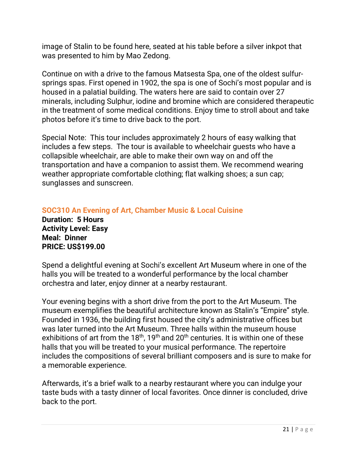image of Stalin to be found here, seated at his table before a silver inkpot that was presented to him by Mao Zedong.

Continue on with a drive to the famous Matsesta Spa, one of the oldest sulfursprings spas. First opened in 1902, the spa is one of Sochi's most popular and is housed in a palatial building. The waters here are said to contain over 27 minerals, including Sulphur, iodine and bromine which are considered therapeutic in the treatment of some medical conditions. Enjoy time to stroll about and take photos before it's time to drive back to the port.

Special Note: This tour includes approximately 2 hours of easy walking that includes a few steps. The tour is available to wheelchair guests who have a collapsible wheelchair, are able to make their own way on and off the transportation and have a companion to assist them. We recommend wearing weather appropriate comfortable clothing; flat walking shoes; a sun cap; sunglasses and sunscreen.

**SOC310 An Evening of Art, Chamber Music & Local Cuisine Duration: 5 Hours Activity Level: Easy Meal: Dinner PRICE: US\$199.00**

Spend a delightful evening at Sochi's excellent Art Museum where in one of the halls you will be treated to a wonderful performance by the local chamber orchestra and later, enjoy dinner at a nearby restaurant.

Your evening begins with a short drive from the port to the Art Museum. The museum exemplifies the beautiful architecture known as Stalin's "Empire" style. Founded in 1936, the building first housed the city's administrative offices but was later turned into the Art Museum. Three halls within the museum house exhibitions of art from the  $18<sup>th</sup>$ , 19<sup>th</sup> and  $20<sup>th</sup>$  centuries. It is within one of these halls that you will be treated to your musical performance. The repertoire includes the compositions of several brilliant composers and is sure to make for a memorable experience.

Afterwards, it's a brief walk to a nearby restaurant where you can indulge your taste buds with a tasty dinner of local favorites. Once dinner is concluded, drive back to the port.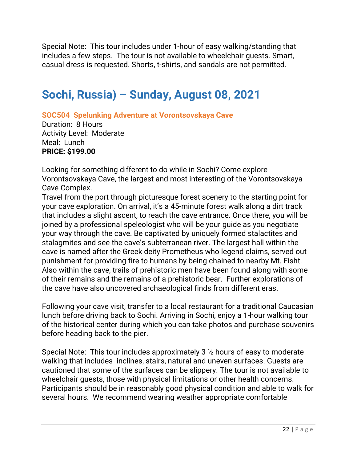Special Note: This tour includes under 1-hour of easy walking/standing that includes a few steps. The tour is not available to wheelchair guests. Smart, casual dress is requested. Shorts, t-shirts, and sandals are not permitted.

# **Sochi, Russia) – Sunday, August 08, 2021**

**SOC504 Spelunking Adventure at Vorontsovskaya Cave**

Duration: 8 Hours Activity Level: Moderate Meal: Lunch **PRICE: \$199.00**

Looking for something different to do while in Sochi? Come explore Vorontsovskaya Cave, the largest and most interesting of the Vorontsovskaya Cave Complex.

Travel from the port through picturesque forest scenery to the starting point for your cave exploration. On arrival, it's a 45-minute forest walk along a dirt track that includes a slight ascent, to reach the cave entrance. Once there, you will be joined by a professional speleologist who will be your guide as you negotiate your way through the cave. Be captivated by uniquely formed stalactites and stalagmites and see the cave's subterranean river. The largest hall within the cave is named after the Greek deity Prometheus who legend claims, served out punishment for providing fire to humans by being chained to nearby Mt. Fisht. Also within the cave, trails of prehistoric men have been found along with some of their remains and the remains of a prehistoric bear. Further explorations of the cave have also uncovered archaeological finds from different eras.

Following your cave visit, transfer to a local restaurant for a traditional Caucasian lunch before driving back to Sochi. Arriving in Sochi, enjoy a 1-hour walking tour of the historical center during which you can take photos and purchase souvenirs before heading back to the pier.

Special Note: This tour includes approximately 3 ½ hours of easy to moderate walking that includes inclines, stairs, natural and uneven surfaces. Guests are cautioned that some of the surfaces can be slippery. The tour is not available to wheelchair guests, those with physical limitations or other health concerns. Participants should be in reasonably good physical condition and able to walk for several hours. We recommend wearing weather appropriate comfortable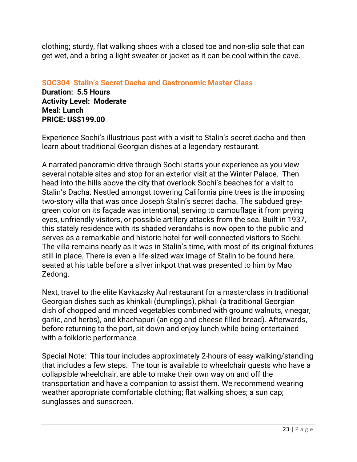clothing; sturdy, flat walking shoes with a closed toe and non-slip sole that can get wet, and a bring a light sweater or jacket as it can be cool within the cave.

**SOC304 Stalin's Secret Dacha and Gastronomic Master Class Duration: 5.5 Hours Activity Level: Moderate Meal: Lunch**

**PRICE: US\$199.00**

Experience Sochi's illustrious past with a visit to Stalin's secret dacha and then learn about traditional Georgian dishes at a legendary restaurant.

A narrated panoramic drive through Sochi starts your experience as you view several notable sites and stop for an exterior visit at the Winter Palace. Then head into the hills above the city that overlook Sochi's beaches for a visit to Stalin's Dacha. Nestled amongst towering California pine trees is the imposing two-story villa that was once Joseph Stalin's secret dacha. The subdued greygreen color on its façade was intentional, serving to camouflage it from prying eyes, unfriendly visitors, or possible artillery attacks from the sea. Built in 1937, this stately residence with its shaded verandahs is now open to the public and serves as a remarkable and historic hotel for well-connected visitors to Sochi. The villa remains nearly as it was in Stalin's time, with most of its original fixtures still in place. There is even a life-sized wax image of Stalin to be found here, seated at his table before a silver inkpot that was presented to him by Mao Zedong.

Next, travel to the elite Kavkazsky Aul restaurant for a masterclass in traditional Georgian dishes such as khinkali (dumplings), pkhali (a traditional Georgian dish of chopped and minced vegetables combined with ground walnuts, vinegar, garlic, and herbs), and khachapuri (an egg and cheese filled bread). Afterwards, before returning to the port, sit down and enjoy lunch while being entertained with a folkloric performance.

Special Note: This tour includes approximately 2-hours of easy walking/standing that includes a few steps. The tour is available to wheelchair guests who have a collapsible wheelchair, are able to make their own way on and off the transportation and have a companion to assist them. We recommend wearing weather appropriate comfortable clothing; flat walking shoes; a sun cap; sunglasses and sunscreen.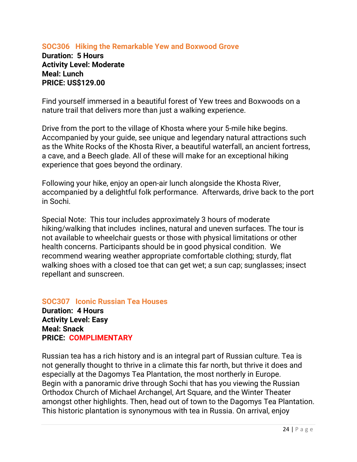#### **SOC306 Hiking the Remarkable Yew and Boxwood Grove Duration: 5 Hours Activity Level: Moderate Meal: Lunch PRICE: US\$129.00**

Find yourself immersed in a beautiful forest of Yew trees and Boxwoods on a nature trail that delivers more than just a walking experience.

Drive from the port to the village of Khosta where your 5-mile hike begins. Accompanied by your guide, see unique and legendary natural attractions such as the White Rocks of the Khosta River, a beautiful waterfall, an ancient fortress, a cave, and a Beech glade. All of these will make for an exceptional hiking experience that goes beyond the ordinary.

Following your hike, enjoy an open-air lunch alongside the Khosta River, accompanied by a delightful folk performance. Afterwards, drive back to the port in Sochi.

Special Note: This tour includes approximately 3 hours of moderate hiking/walking that includes inclines, natural and uneven surfaces. The tour is not available to wheelchair guests or those with physical limitations or other health concerns. Participants should be in good physical condition. We recommend wearing weather appropriate comfortable clothing; sturdy, flat walking shoes with a closed toe that can get wet; a sun cap; sunglasses; insect repellant and sunscreen.

**SOC307 Iconic Russian Tea Houses Duration: 4 Hours Activity Level: Easy Meal: Snack PRICE: COMPLIMENTARY** 

Russian tea has a rich history and is an integral part of Russian culture. Tea is not generally thought to thrive in a climate this far north, but thrive it does and especially at the Dagomys Tea Plantation, the most northerly in Europe. Begin with a panoramic drive through Sochi that has you viewing the Russian Orthodox Church of Michael Archangel, Art Square, and the Winter Theater amongst other highlights. Then, head out of town to the Dagomys Tea Plantation. This historic plantation is synonymous with tea in Russia. On arrival, enjoy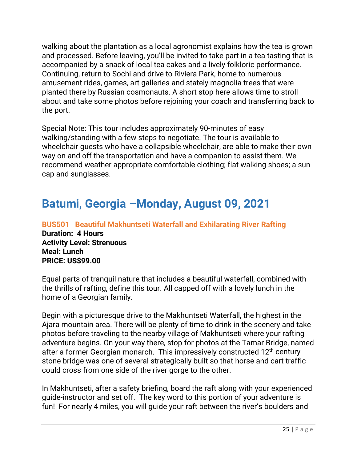walking about the plantation as a local agronomist explains how the tea is grown and processed. Before leaving, you'll be invited to take part in a tea tasting that is accompanied by a snack of local tea cakes and a lively folkloric performance. Continuing, return to Sochi and drive to Riviera Park, home to numerous amusement rides, games, art galleries and stately magnolia trees that were planted there by Russian cosmonauts. A short stop here allows time to stroll about and take some photos before rejoining your coach and transferring back to the port.

Special Note: This tour includes approximately 90-minutes of easy walking/standing with a few steps to negotiate. The tour is available to wheelchair guests who have a collapsible wheelchair, are able to make their own way on and off the transportation and have a companion to assist them. We recommend weather appropriate comfortable clothing; flat walking shoes; a sun cap and sunglasses.

# **Batumi, Georgia –Monday, August 09, 2021**

**BUS501 Beautiful Makhuntseti Waterfall and Exhilarating River Rafting Duration: 4 Hours Activity Level: Strenuous Meal: Lunch PRICE: US\$99.00**

Equal parts of tranquil nature that includes a beautiful waterfall, combined with the thrills of rafting, define this tour. All capped off with a lovely lunch in the home of a Georgian family.

Begin with a picturesque drive to the Makhuntseti Waterfall, the highest in the Ajara mountain area. There will be plenty of time to drink in the scenery and take photos before traveling to the nearby village of Makhuntseti where your rafting adventure begins. On your way there, stop for photos at the Tamar Bridge, named after a former Georgian monarch. This impressively constructed 12<sup>th</sup> century stone bridge was one of several strategically built so that horse and cart traffic could cross from one side of the river gorge to the other.

In Makhuntseti, after a safety briefing, board the raft along with your experienced guide-instructor and set off. The key word to this portion of your adventure is fun! For nearly 4 miles, you will guide your raft between the river's boulders and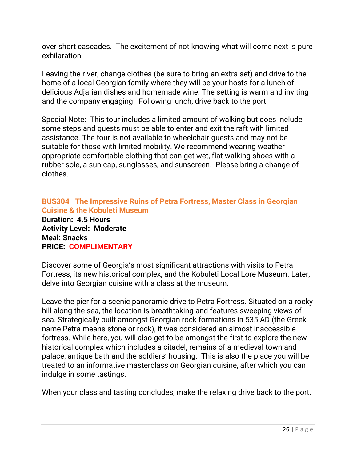over short cascades. The excitement of not knowing what will come next is pure exhilaration.

Leaving the river, change clothes (be sure to bring an extra set) and drive to the home of a local Georgian family where they will be your hosts for a lunch of delicious Adjarian dishes and homemade wine. The setting is warm and inviting and the company engaging. Following lunch, drive back to the port.

Special Note: This tour includes a limited amount of walking but does include some steps and guests must be able to enter and exit the raft with limited assistance. The tour is not available to wheelchair guests and may not be suitable for those with limited mobility. We recommend wearing weather appropriate comfortable clothing that can get wet, flat walking shoes with a rubber sole, a sun cap, sunglasses, and sunscreen. Please bring a change of clothes.

### **BUS304 The Impressive Ruins of Petra Fortress, Master Class in Georgian Cuisine & the Kobuleti Museum**

**Duration: 4.5 Hours Activity Level: Moderate Meal: Snacks PRICE: COMPLIMENTARY** 

Discover some of Georgia's most significant attractions with visits to Petra Fortress, its new historical complex, and the Kobuleti Local Lore Museum. Later, delve into Georgian cuisine with a class at the museum.

Leave the pier for a scenic panoramic drive to Petra Fortress. Situated on a rocky hill along the sea, the location is breathtaking and features sweeping views of sea. Strategically built amongst Georgian rock formations in 535 AD (the Greek name Petra means stone or rock), it was considered an almost inaccessible fortress. While here, you will also get to be amongst the first to explore the new historical complex which includes a citadel, remains of a medieval town and palace, antique bath and the soldiers' housing. This is also the place you will be treated to an informative masterclass on Georgian cuisine, after which you can indulge in some tastings.

When your class and tasting concludes, make the relaxing drive back to the port.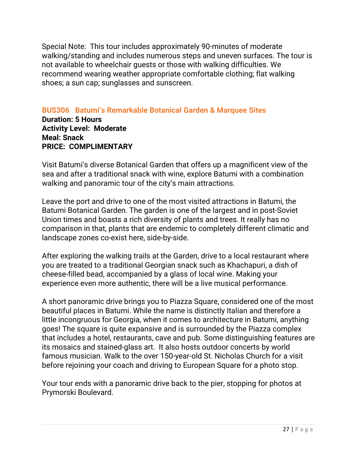Special Note: This tour includes approximately 90-minutes of moderate walking/standing and includes numerous steps and uneven surfaces. The tour is not available to wheelchair guests or those with walking difficulties. We recommend wearing weather appropriate comfortable clothing; flat walking shoes; a sun cap; sunglasses and sunscreen.

### **BUS306 Batumi's Remarkable Botanical Garden & Marquee Sites**

**Duration: 5 Hours Activity Level: Moderate Meal: Snack PRICE: COMPLIMENTARY** 

Visit Batumi's diverse Botanical Garden that offers up a magnificent view of the sea and after a traditional snack with wine, explore Batumi with a combination walking and panoramic tour of the city's main attractions.

Leave the port and drive to one of the most visited attractions in Batumi, the Batumi Botanical Garden. The garden is one of the largest and in post-Soviet Union times and boasts a rich diversity of plants and trees. It really has no comparison in that, plants that are endemic to completely different climatic and landscape zones co-exist here, side-by-side.

After exploring the walking trails at the Garden, drive to a local restaurant where you are treated to a traditional Georgian snack such as Khachapuri, a dish of cheese-filled bead, accompanied by a glass of local wine. Making your experience even more authentic, there will be a live musical performance.

A short panoramic drive brings you to Piazza Square, considered one of the most beautiful places in Batumi. While the name is distinctly Italian and therefore a little incongruous for Georgia, when it comes to architecture in Batumi, anything goes! The square is quite expansive and is surrounded by the Piazza complex that includes a hotel, restaurants, cave and pub. Some distinguishing features are its mosaics and stained-glass art. It also hosts outdoor concerts by world famous musician. Walk to the over 150-year-old St. Nicholas Church for a visit before rejoining your coach and driving to European Square for a photo stop.

Your tour ends with a panoramic drive back to the pier, stopping for photos at Prymorski Boulevard.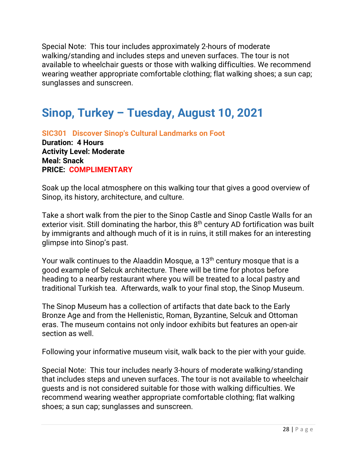Special Note: This tour includes approximately 2-hours of moderate walking/standing and includes steps and uneven surfaces. The tour is not available to wheelchair guests or those with walking difficulties. We recommend wearing weather appropriate comfortable clothing; flat walking shoes; a sun cap; sunglasses and sunscreen.

# **Sinop, Turkey – Tuesday, August 10, 2021**

**SIC301 Discover Sinop's Cultural Landmarks on Foot Duration: 4 Hours Activity Level: Moderate Meal: Snack PRICE: COMPLIMENTARY** 

Soak up the local atmosphere on this walking tour that gives a good overview of Sinop, its history, architecture, and culture.

Take a short walk from the pier to the Sinop Castle and Sinop Castle Walls for an exterior visit. Still dominating the harbor, this  $8<sup>th</sup>$  century AD fortification was built by immigrants and although much of it is in ruins, it still makes for an interesting glimpse into Sinop's past.

Your walk continues to the Alaaddin Mosque, a 13<sup>th</sup> century mosque that is a good example of Selcuk architecture. There will be time for photos before heading to a nearby restaurant where you will be treated to a local pastry and traditional Turkish tea. Afterwards, walk to your final stop, the Sinop Museum.

The Sinop Museum has a collection of artifacts that date back to the Early Bronze Age and from the Hellenistic, Roman, Byzantine, Selcuk and Ottoman eras. The museum contains not only indoor exhibits but features an open-air section as well.

Following your informative museum visit, walk back to the pier with your guide.

Special Note: This tour includes nearly 3-hours of moderate walking/standing that includes steps and uneven surfaces. The tour is not available to wheelchair guests and is not considered suitable for those with walking difficulties. We recommend wearing weather appropriate comfortable clothing; flat walking shoes; a sun cap; sunglasses and sunscreen.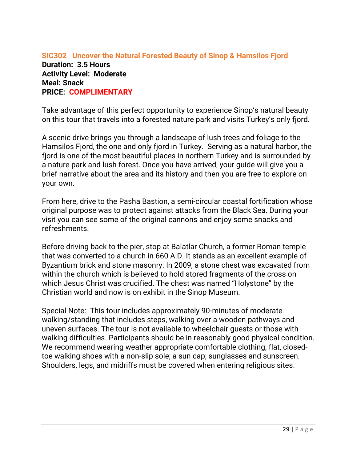### **SIC302 Uncover the Natural Forested Beauty of Sinop & Hamsilos Fjord Duration: 3.5 Hours Activity Level: Moderate Meal: Snack PRICE: COMPLIMENTARY**

Take advantage of this perfect opportunity to experience Sinop's natural beauty on this tour that travels into a forested nature park and visits Turkey's only fjord.

A scenic drive brings you through a landscape of lush trees and foliage to the Hamsilos Fjord, the one and only fjord in Turkey. Serving as a natural harbor, the fjord is one of the most beautiful places in northern Turkey and is surrounded by a nature park and lush forest. Once you have arrived, your guide will give you a brief narrative about the area and its history and then you are free to explore on your own.

From here, drive to the Pasha Bastion, a semi-circular coastal fortification whose original purpose was to protect against attacks from the Black Sea. During your visit you can see some of the original cannons and enjoy some snacks and refreshments.

Before driving back to the pier, stop at Balatlar Church, a former Roman temple that was converted to a church in 660 A.D. It stands as an excellent example of Byzantium brick and stone masonry. In 2009, a stone chest was excavated from within the church which is believed to hold stored fragments of the cross on which Jesus Christ was crucified. The chest was named "Holystone" by the Christian world and now is on exhibit in the Sinop Museum.

Special Note: This tour includes approximately 90-minutes of moderate walking/standing that includes steps, walking over a wooden pathways and uneven surfaces. The tour is not available to wheelchair guests or those with walking difficulties. Participants should be in reasonably good physical condition. We recommend wearing weather appropriate comfortable clothing; flat, closedtoe walking shoes with a non-slip sole; a sun cap; sunglasses and sunscreen. Shoulders, legs, and midriffs must be covered when entering religious sites.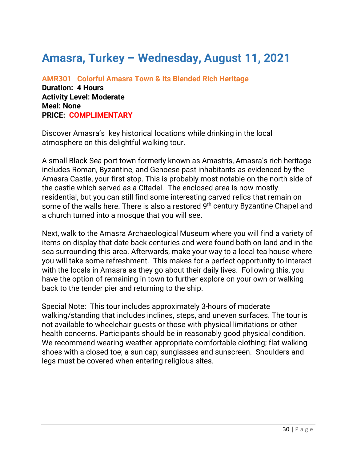## **Amasra, Turkey – Wednesday, August 11, 2021**

**AMR301 Colorful Amasra Town & Its Blended Rich Heritage Duration: 4 Hours Activity Level: Moderate Meal: None PRICE: COMPLIMENTARY** 

Discover Amasra's key historical locations while drinking in the local atmosphere on this delightful walking tour.

A small Black Sea port town formerly known as Amastris, Amasra's rich heritage includes Roman, Byzantine, and Genoese past inhabitants as evidenced by the Amasra Castle, your first stop. This is probably most notable on the north side of the castle which served as a Citadel. The enclosed area is now mostly residential, but you can still find some interesting carved relics that remain on some of the walls here. There is also a restored 9<sup>th</sup> century Byzantine Chapel and a church turned into a mosque that you will see.

Next, walk to the Amasra Archaeological Museum where you will find a variety of items on display that date back centuries and were found both on land and in the sea surrounding this area. Afterwards, make your way to a local tea house where you will take some refreshment. This makes for a perfect opportunity to interact with the locals in Amasra as they go about their daily lives. Following this, you have the option of remaining in town to further explore on your own or walking back to the tender pier and returning to the ship.

Special Note: This tour includes approximately 3-hours of moderate walking/standing that includes inclines, steps, and uneven surfaces. The tour is not available to wheelchair guests or those with physical limitations or other health concerns. Participants should be in reasonably good physical condition. We recommend wearing weather appropriate comfortable clothing; flat walking shoes with a closed toe; a sun cap; sunglasses and sunscreen. Shoulders and legs must be covered when entering religious sites.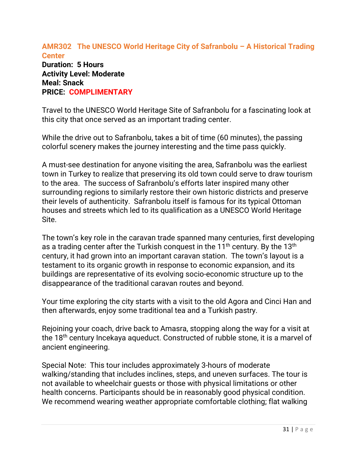### **AMR302 The UNESCO World Heritage City of Safranbolu – A Historical Trading Center Duration: 5 Hours Activity Level: Moderate Meal: Snack PRICE: COMPLIMENTARY**

Travel to the UNESCO World Heritage Site of Safranbolu for a fascinating look at this city that once served as an important trading center.

While the drive out to Safranbolu, takes a bit of time (60 minutes), the passing colorful scenery makes the journey interesting and the time pass quickly.

A must-see destination for anyone visiting the area, Safranbolu was the earliest town in Turkey to realize that preserving its old town could serve to draw tourism to the area. The success of Safranbolu's efforts later inspired many other surrounding regions to similarly restore their own historic districts and preserve their levels of authenticity. Safranbolu itself is famous for its typical Ottoman houses and streets which led to its qualification as a UNESCO World Heritage Site.

The town's key role in the caravan trade spanned many centuries, first developing as a trading center after the Turkish conquest in the  $11<sup>th</sup>$  century. By the  $13<sup>th</sup>$ century, it had grown into an important caravan station. The town's layout is a testament to its organic growth in response to economic expansion, and its buildings are representative of its evolving socio-economic structure up to the disappearance of the traditional caravan routes and beyond.

Your time exploring the city starts with a visit to the old Agora and Cinci Han and then afterwards, enjoy some traditional tea and a Turkish pastry.

Rejoining your coach, drive back to Amasra, stopping along the way for a visit at the 18<sup>th</sup> century Incekaya aqueduct. Constructed of rubble stone, it is a marvel of ancient engineering.

Special Note: This tour includes approximately 3-hours of moderate walking/standing that includes inclines, steps, and uneven surfaces. The tour is not available to wheelchair guests or those with physical limitations or other health concerns. Participants should be in reasonably good physical condition. We recommend wearing weather appropriate comfortable clothing; flat walking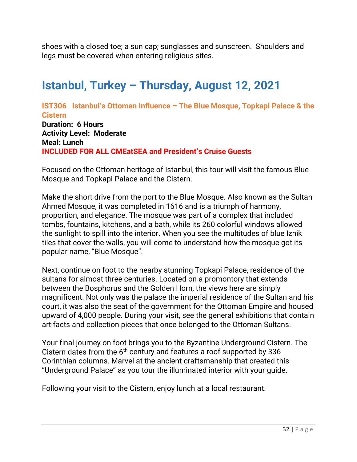shoes with a closed toe; a sun cap; sunglasses and sunscreen. Shoulders and legs must be covered when entering religious sites.

# **Istanbul, Turkey – Thursday, August 12, 2021**

**IST306 Istanbul's Ottoman Influence – The Blue Mosque, Topkapi Palace & the Cistern Duration: 6 Hours Activity Level: Moderate Meal: Lunch INCLUDED FOR ALL CMEatSEA and President's Cruise Guests**

Focused on the Ottoman heritage of Istanbul, this tour will visit the famous Blue Mosque and Topkapi Palace and the Cistern.

Make the short drive from the port to the Blue Mosque. Also known as the Sultan Ahmed Mosque, it was completed in 1616 and is a triumph of harmony, proportion, and elegance. The mosque was part of a complex that included tombs, fountains, kitchens, and a bath, while its 260 colorful windows allowed the sunlight to spill into the interior. When you see the multitudes of blue Iznik tiles that cover the walls, you will come to understand how the mosque got its popular name, "Blue Mosque".

Next, continue on foot to the nearby stunning Topkapi Palace, residence of the sultans for almost three centuries. Located on a promontory that extends between the Bosphorus and the Golden Horn, the views here are simply magnificent. Not only was the palace the imperial residence of the Sultan and his court, it was also the seat of the government for the Ottoman Empire and housed upward of 4,000 people. During your visit, see the general exhibitions that contain artifacts and collection pieces that once belonged to the Ottoman Sultans.

Your final journey on foot brings you to the Byzantine Underground Cistern. The Cistern dates from the 6<sup>th</sup> century and features a roof supported by 336 Corinthian columns. Marvel at the ancient craftsmanship that created this "Underground Palace" as you tour the illuminated interior with your guide.

Following your visit to the Cistern, enjoy lunch at a local restaurant.